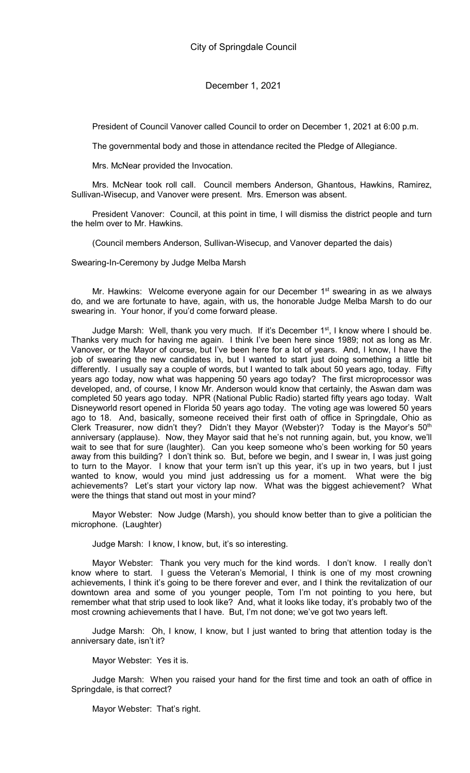President of Council Vanover called Council to order on December 1, 2021 at 6:00 p.m.

The governmental body and those in attendance recited the Pledge of Allegiance.

Mrs. McNear provided the Invocation.

Mrs. McNear took roll call. Council members Anderson, Ghantous, Hawkins, Ramirez, Sullivan-Wisecup, and Vanover were present. Mrs. Emerson was absent.

President Vanover: Council, at this point in time, I will dismiss the district people and turn the helm over to Mr. Hawkins.

(Council members Anderson, Sullivan-Wisecup, and Vanover departed the dais)

Swearing-In-Ceremony by Judge Melba Marsh

Mr. Hawkins: Welcome everyone again for our December  $1<sup>st</sup>$  swearing in as we always do, and we are fortunate to have, again, with us, the honorable Judge Melba Marsh to do our swearing in. Your honor, if you'd come forward please.

Judge Marsh: Well, thank you very much. If it's December 1<sup>st</sup>, I know where I should be. Thanks very much for having me again. I think I've been here since 1989; not as long as Mr. Vanover, or the Mayor of course, but I've been here for a lot of years. And, I know, I have the job of swearing the new candidates in, but I wanted to start just doing something a little bit differently. I usually say a couple of words, but I wanted to talk about 50 years ago, today. Fifty years ago today, now what was happening 50 years ago today? The first microprocessor was developed, and, of course, I know Mr. Anderson would know that certainly, the Aswan dam was completed 50 years ago today. NPR (National Public Radio) started fifty years ago today. Walt Disneyworld resort opened in Florida 50 years ago today. The voting age was lowered 50 years ago to 18. And, basically, someone received their first oath of office in Springdale, Ohio as Clerk Treasurer, now didn't they? Didn't they Mayor (Webster)? Today is the Mayor's  $50<sup>th</sup>$ anniversary (applause). Now, they Mayor said that he's not running again, but, you know, we'll wait to see that for sure (laughter). Can you keep someone who's been working for 50 years away from this building? I don't think so. But, before we begin, and I swear in, I was just going to turn to the Mayor. I know that your term isn't up this year, it's up in two years, but I just wanted to know, would you mind just addressing us for a moment. What were the big achievements? Let's start your victory lap now. What was the biggest achievement? What were the things that stand out most in your mind?

Mayor Webster: Now Judge (Marsh), you should know better than to give a politician the microphone. (Laughter)

Judge Marsh: I know, I know, but, it's so interesting.

Mayor Webster: Thank you very much for the kind words. I don't know. I really don't know where to start. I guess the Veteran's Memorial, I think is one of my most crowning achievements, I think it's going to be there forever and ever, and I think the revitalization of our downtown area and some of you younger people, Tom I'm not pointing to you here, but remember what that strip used to look like? And, what it looks like today, it's probably two of the most crowning achievements that I have. But, I'm not done; we've got two years left.

Judge Marsh: Oh, I know, I know, but I just wanted to bring that attention today is the anniversary date, isn't it?

Mayor Webster: Yes it is.

Judge Marsh: When you raised your hand for the first time and took an oath of office in Springdale, is that correct?

Mayor Webster: That's right.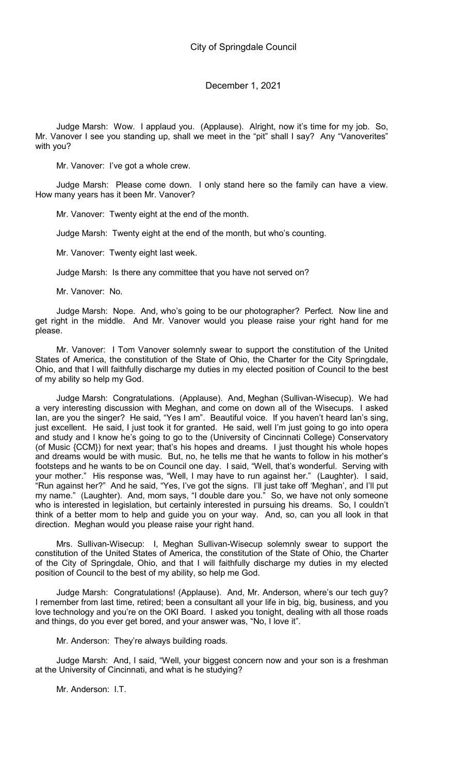Judge Marsh: Wow. I applaud you. (Applause). Alright, now it's time for my job. So, Mr. Vanover I see you standing up, shall we meet in the "pit" shall I say? Any "Vanoverites" with you?

Mr. Vanover: I've got a whole crew.

Judge Marsh: Please come down. I only stand here so the family can have a view. How many years has it been Mr. Vanover?

Mr. Vanover: Twenty eight at the end of the month.

Judge Marsh: Twenty eight at the end of the month, but who's counting.

Mr. Vanover: Twenty eight last week.

Judge Marsh: Is there any committee that you have not served on?

Mr. Vanover: No.

Judge Marsh: Nope. And, who's going to be our photographer? Perfect. Now line and get right in the middle. And Mr. Vanover would you please raise your right hand for me please.

Mr. Vanover: I Tom Vanover solemnly swear to support the constitution of the United States of America, the constitution of the State of Ohio, the Charter for the City Springdale, Ohio, and that I will faithfully discharge my duties in my elected position of Council to the best of my ability so help my God.

Judge Marsh: Congratulations. (Applause). And, Meghan (Sullivan-Wisecup). We had a very interesting discussion with Meghan, and come on down all of the Wisecups. I asked Ian, are you the singer? He said, "Yes I am". Beautiful voice. If you haven't heard Ian's sing, just excellent. He said, I just took it for granted. He said, well I'm just going to go into opera and study and I know he's going to go to the (University of Cincinnati College) Conservatory (of Music {CCM}) for next year; that's his hopes and dreams. I just thought his whole hopes and dreams would be with music. But, no, he tells me that he wants to follow in his mother's footsteps and he wants to be on Council one day. I said, "Well, that's wonderful. Serving with your mother." His response was, "Well, I may have to run against her." (Laughter). I said, "Run against her?" And he said, "Yes, I've got the signs. I'll just take off 'Meghan', and I'll put my name." (Laughter). And, mom says, "I double dare you." So, we have not only someone who is interested in legislation, but certainly interested in pursuing his dreams. So, I couldn't think of a better mom to help and guide you on your way. And, so, can you all look in that direction. Meghan would you please raise your right hand.

Mrs. Sullivan-Wisecup: I, Meghan Sullivan-Wisecup solemnly swear to support the constitution of the United States of America, the constitution of the State of Ohio, the Charter of the City of Springdale, Ohio, and that I will faithfully discharge my duties in my elected position of Council to the best of my ability, so help me God.

Judge Marsh: Congratulations! (Applause). And, Mr. Anderson, where's our tech guy? I remember from last time, retired; been a consultant all your life in big, big, business, and you love technology and you're on the OKI Board. I asked you tonight, dealing with all those roads and things, do you ever get bored, and your answer was, "No, I love it".

Mr. Anderson: They're always building roads.

Judge Marsh: And, I said, "Well, your biggest concern now and your son is a freshman at the University of Cincinnati, and what is he studying?

Mr. Anderson: I.T.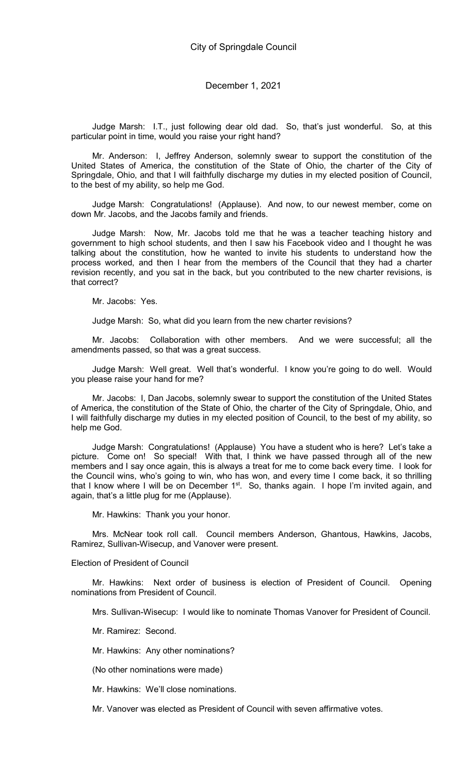Judge Marsh: I.T., just following dear old dad. So, that's just wonderful. So, at this particular point in time, would you raise your right hand?

Mr. Anderson: I, Jeffrey Anderson, solemnly swear to support the constitution of the United States of America, the constitution of the State of Ohio, the charter of the City of Springdale, Ohio, and that I will faithfully discharge my duties in my elected position of Council, to the best of my ability, so help me God.

Judge Marsh: Congratulations! (Applause). And now, to our newest member, come on down Mr. Jacobs, and the Jacobs family and friends.

Judge Marsh: Now, Mr. Jacobs told me that he was a teacher teaching history and government to high school students, and then I saw his Facebook video and I thought he was talking about the constitution, how he wanted to invite his students to understand how the process worked, and then I hear from the members of the Council that they had a charter revision recently, and you sat in the back, but you contributed to the new charter revisions, is that correct?

Mr. Jacobs: Yes.

Judge Marsh: So, what did you learn from the new charter revisions?

Mr. Jacobs: Collaboration with other members. And we were successful; all the amendments passed, so that was a great success.

Judge Marsh: Well great. Well that's wonderful. I know you're going to do well. Would you please raise your hand for me?

Mr. Jacobs: I, Dan Jacobs, solemnly swear to support the constitution of the United States of America, the constitution of the State of Ohio, the charter of the City of Springdale, Ohio, and I will faithfully discharge my duties in my elected position of Council, to the best of my ability, so help me God.

Judge Marsh: Congratulations! (Applause) You have a student who is here? Let's take a picture. Come on! So special! With that, I think we have passed through all of the new members and I say once again, this is always a treat for me to come back every time. I look for the Council wins, who's going to win, who has won, and every time I come back, it so thrilling that I know where I will be on December 1<sup>st</sup>. So, thanks again. I hope I'm invited again, and again, that's a little plug for me (Applause).

Mr. Hawkins: Thank you your honor.

Mrs. McNear took roll call. Council members Anderson, Ghantous, Hawkins, Jacobs, Ramirez, Sullivan-Wisecup, and Vanover were present.

#### Election of President of Council

Mr. Hawkins: Next order of business is election of President of Council. Opening nominations from President of Council.

Mrs. Sullivan-Wisecup: I would like to nominate Thomas Vanover for President of Council.

Mr. Ramirez: Second.

- Mr. Hawkins: Any other nominations?
- (No other nominations were made)

Mr. Hawkins: We'll close nominations.

Mr. Vanover was elected as President of Council with seven affirmative votes.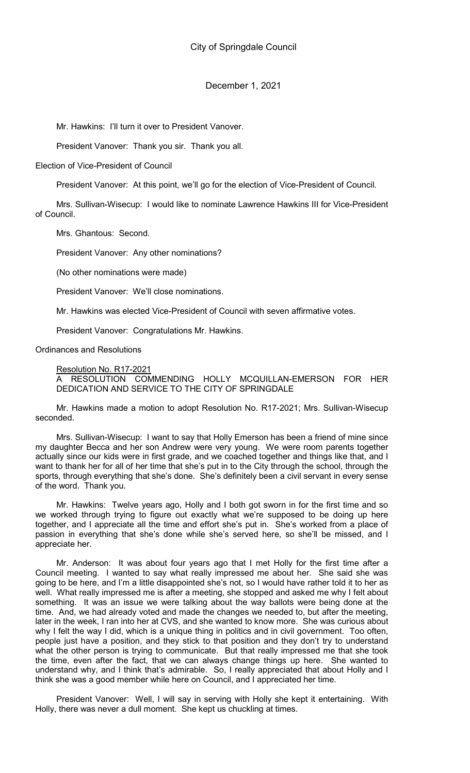Mr. Hawkins: I'll turn it over to President Vanover.

President Vanover: Thank you sir. Thank you all.

Election of Vice-President of Council

President Vanover: At this point, we'll go for the election of Vice-President of Council.

Mrs. Sullivan-Wisecup: I would like to nominate Lawrence Hawkins III for Vice-President of Council.

Mrs. Ghantous: Second.

President Vanover: Any other nominations?

(No other nominations were made)

President Vanover: We'll close nominations.

Mr. Hawkins was elected Vice-President of Council with seven affirmative votes.

President Vanover: Congratulations Mr. Hawkins.

Ordinances and Resolutions

Resolution No. R17-2021

A RESOLUTION COMMENDING HOLLY MCQUILLAN-EMERSON FOR HER DEDICATION AND SERVICE TO THE CITY OF SPRINGDALE

Mr. Hawkins made a motion to adopt Resolution No. R17-2021; Mrs. Sullivan-Wisecup seconded.

Mrs. Sullivan-Wisecup: I want to say that Holly Emerson has been a friend of mine since my daughter Becca and her son Andrew were very young. We were room parents together actually since our kids were in first grade, and we coached together and things like that, and I want to thank her for all of her time that she's put in to the City through the school, through the sports, through everything that she's done. She's definitely been a civil servant in every sense of the word. Thank you.

Mr. Hawkins: Twelve years ago, Holly and I both got sworn in for the first time and so we worked through trying to figure out exactly what we're supposed to be doing up here together, and I appreciate all the time and effort she's put in. She's worked from a place of passion in everything that she's done while she's served here, so she'll be missed, and I appreciate her.

Mr. Anderson: It was about four years ago that I met Holly for the first time after a Council meeting. I wanted to say what really impressed me about her. She said she was going to be here, and I'm a little disappointed she's not, so I would have rather told it to her as well. What really impressed me is after a meeting, she stopped and asked me why I felt about something. It was an issue we were talking about the way ballots were being done at the time. And, we had already voted and made the changes we needed to, but after the meeting, later in the week, I ran into her at CVS, and she wanted to know more. She was curious about why I felt the way I did, which is a unique thing in politics and in civil government. Too often, people just have a position, and they stick to that position and they don't try to understand what the other person is trying to communicate. But that really impressed me that she took the time, even after the fact, that we can always change things up here. She wanted to understand why, and I think that's admirable. So, I really appreciated that about Holly and I think she was a good member while here on Council, and I appreciated her time.

President Vanover: Well, I will say in serving with Holly she kept it entertaining. With Holly, there was never a dull moment. She kept us chuckling at times.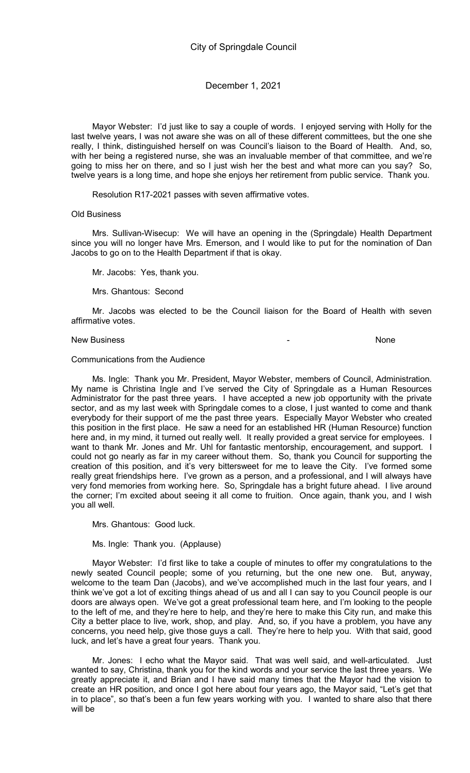Mayor Webster: I'd just like to say a couple of words. I enjoyed serving with Holly for the last twelve years, I was not aware she was on all of these different committees, but the one she really, I think, distinguished herself on was Council's liaison to the Board of Health. And, so, with her being a registered nurse, she was an invaluable member of that committee, and we're going to miss her on there, and so I just wish her the best and what more can you say? So, twelve years is a long time, and hope she enjoys her retirement from public service. Thank you.

Resolution R17-2021 passes with seven affirmative votes.

#### Old Business

Mrs. Sullivan-Wisecup: We will have an opening in the (Springdale) Health Department since you will no longer have Mrs. Emerson, and I would like to put for the nomination of Dan Jacobs to go on to the Health Department if that is okay.

Mr. Jacobs: Yes, thank you.

Mrs. Ghantous: Second

Mr. Jacobs was elected to be the Council liaison for the Board of Health with seven affirmative votes.

### New Business **New Business None**

#### Communications from the Audience

Ms. Ingle: Thank you Mr. President, Mayor Webster, members of Council, Administration. My name is Christina Ingle and I've served the City of Springdale as a Human Resources Administrator for the past three years. I have accepted a new job opportunity with the private sector, and as my last week with Springdale comes to a close, I just wanted to come and thank everybody for their support of me the past three years. Especially Mayor Webster who created this position in the first place. He saw a need for an established HR (Human Resource) function here and, in my mind, it turned out really well. It really provided a great service for employees. I want to thank Mr. Jones and Mr. Uhl for fantastic mentorship, encouragement, and support. I could not go nearly as far in my career without them. So, thank you Council for supporting the creation of this position, and it's very bittersweet for me to leave the City. I've formed some really great friendships here. I've grown as a person, and a professional, and I will always have very fond memories from working here. So, Springdale has a bright future ahead. I live around the corner; I'm excited about seeing it all come to fruition. Once again, thank you, and I wish you all well.

Mrs. Ghantous: Good luck.

Ms. Ingle: Thank you. (Applause)

Mayor Webster: I'd first like to take a couple of minutes to offer my congratulations to the newly seated Council people; some of you returning, but the one new one. But, anyway, welcome to the team Dan (Jacobs), and we've accomplished much in the last four years, and I think we've got a lot of exciting things ahead of us and all I can say to you Council people is our doors are always open. We've got a great professional team here, and I'm looking to the people to the left of me, and they're here to help, and they're here to make this City run, and make this City a better place to live, work, shop, and play. And, so, if you have a problem, you have any concerns, you need help, give those guys a call. They're here to help you. With that said, good luck, and let's have a great four years. Thank you.

Mr. Jones: I echo what the Mayor said. That was well said, and well-articulated. Just wanted to say, Christina, thank you for the kind words and your service the last three years. We greatly appreciate it, and Brian and I have said many times that the Mayor had the vision to create an HR position, and once I got here about four years ago, the Mayor said, "Let's get that in to place", so that's been a fun few years working with you. I wanted to share also that there will be